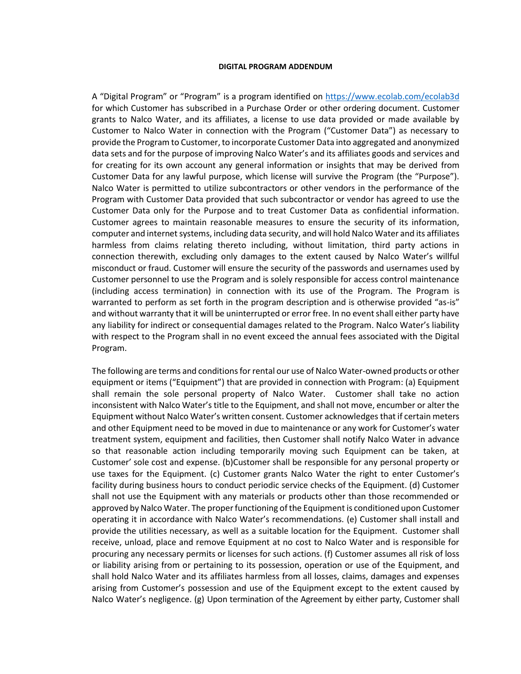## **DIGITAL PROGRAM ADDENDUM**

A "Digital Program" or "Program" is a program identified on<https://www.ecolab.com/ecolab3d> for which Customer has subscribed in a Purchase Order or other ordering document. Customer grants to Nalco Water, and its affiliates, a license to use data provided or made available by Customer to Nalco Water in connection with the Program ("Customer Data") as necessary to provide the Program to Customer, to incorporate Customer Data into aggregated and anonymized data sets and for the purpose of improving Nalco Water's and its affiliates goods and services and for creating for its own account any general information or insights that may be derived from Customer Data for any lawful purpose, which license will survive the Program (the "Purpose"). Nalco Water is permitted to utilize subcontractors or other vendors in the performance of the Program with Customer Data provided that such subcontractor or vendor has agreed to use the Customer Data only for the Purpose and to treat Customer Data as confidential information. Customer agrees to maintain reasonable measures to ensure the security of its information, computer and internet systems, including data security, and will hold Nalco Water and its affiliates harmless from claims relating thereto including, without limitation, third party actions in connection therewith, excluding only damages to the extent caused by Nalco Water's willful misconduct or fraud. Customer will ensure the security of the passwords and usernames used by Customer personnel to use the Program and is solely responsible for access control maintenance (including access termination) in connection with its use of the Program. The Program is warranted to perform as set forth in the program description and is otherwise provided "as-is" and without warranty that it will be uninterrupted or error free. In no event shall either party have any liability for indirect or consequential damages related to the Program. Nalco Water's liability with respect to the Program shall in no event exceed the annual fees associated with the Digital Program.

The following are terms and conditions for rental our use of Nalco Water-owned products or other equipment or items ("Equipment") that are provided in connection with Program: (a) Equipment shall remain the sole personal property of Nalco Water. Customer shall take no action inconsistent with Nalco Water's title to the Equipment, and shall not move, encumber or alter the Equipment without Nalco Water's written consent. Customer acknowledges that if certain meters and other Equipment need to be moved in due to maintenance or any work for Customer's water treatment system, equipment and facilities, then Customer shall notify Nalco Water in advance so that reasonable action including temporarily moving such Equipment can be taken, at Customer' sole cost and expense. (b)Customer shall be responsible for any personal property or use taxes for the Equipment. (c) Customer grants Nalco Water the right to enter Customer's facility during business hours to conduct periodic service checks of the Equipment. (d) Customer shall not use the Equipment with any materials or products other than those recommended or approved by Nalco Water. The proper functioning of the Equipment is conditioned upon Customer operating it in accordance with Nalco Water's recommendations. (e) Customer shall install and provide the utilities necessary, as well as a suitable location for the Equipment. Customer shall receive, unload, place and remove Equipment at no cost to Nalco Water and is responsible for procuring any necessary permits or licenses for such actions. (f) Customer assumes all risk of loss or liability arising from or pertaining to its possession, operation or use of the Equipment, and shall hold Nalco Water and its affiliates harmless from all losses, claims, damages and expenses arising from Customer's possession and use of the Equipment except to the extent caused by Nalco Water's negligence. (g) Upon termination of the Agreement by either party, Customer shall